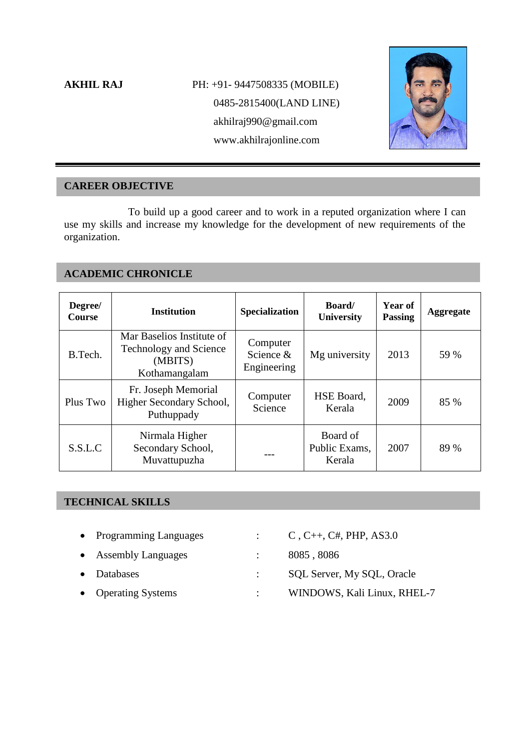# **AKHIL RAJ PH: +91- 9447508335 (MOBILE)** 0485-2815400(LAND LINE) akhilraj990@gmail.com www.akhilrajonline.com



# **CAREER OBJECTIVE**

To build up a good career and to work in a reputed organization where I can use my skills and increase my knowledge for the development of new requirements of the organization.

# **ACADEMIC CHRONICLE**

| Degree/<br><b>Course</b> | <b>Institution</b>                                                                     | <b>Specialization</b>                | <b>Board</b><br><b>University</b>   | <b>Year of</b><br><b>Passing</b> | <b>Aggregate</b> |
|--------------------------|----------------------------------------------------------------------------------------|--------------------------------------|-------------------------------------|----------------------------------|------------------|
| B.Tech.                  | Mar Baselios Institute of<br><b>Technology and Science</b><br>(MBITS)<br>Kothamangalam | Computer<br>Science &<br>Engineering | Mg university                       | 2013                             | 59 %             |
| Plus Two                 | Fr. Joseph Memorial<br>Higher Secondary School,<br>Puthuppady                          | Computer<br>Science                  | HSE Board,<br>Kerala                | 2009                             | 85 %             |
| S.S.L.C                  | Nirmala Higher<br>Secondary School,<br>Muvattupuzha                                    |                                      | Board of<br>Public Exams,<br>Kerala | 2007                             | 89 %             |

# **TECHNICAL SKILLS**

- Programming Languages : C, C++, C#, PHP, AS3.0
- Assembly Languages : 8085, 8086
- 
- 
- 
- 
- Databases : SQL Server, My SQL, Oracle
- Operating Systems : WINDOWS, Kali Linux, RHEL-7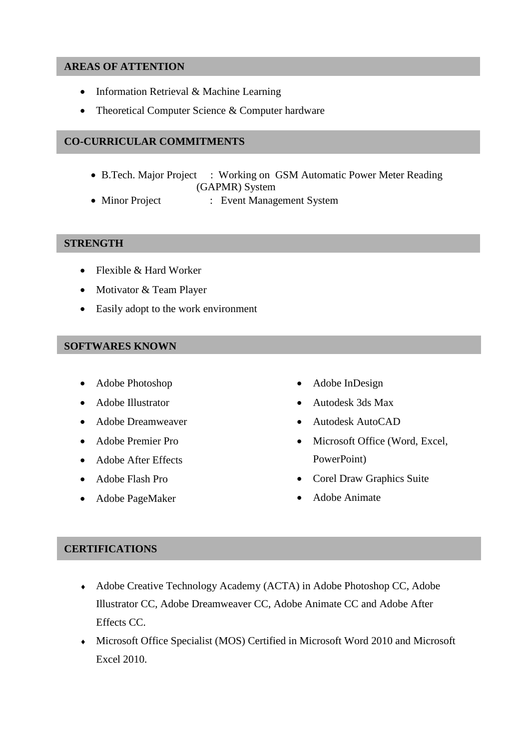#### **AREAS OF ATTENTION**

- Information Retrieval & Machine Learning
- Theoretical Computer Science & Computer hardware

## **CO-CURRICULAR COMMITMENTS**

- B.Tech. Major Project : Working on GSM Automatic Power Meter Reading (GAPMR) System
- Minor Project : Event Management System

#### **STRENGTH**

- Flexible & Hard Worker
- Motivator & Team Player
- Easily adopt to the work environment

### **SOFTWARES KNOWN**

- Adobe Photoshop
- Adobe Illustrator
- Adobe Dreamweaver
- Adobe Premier Pro
- Adobe After Effects
- Adobe Flash Pro
- Adobe PageMaker
- Adobe InDesign
- Autodesk 3ds Max
- Autodesk AutoCAD
- Microsoft Office (Word, Excel, PowerPoint)
- Corel Draw Graphics Suite
- Adobe Animate

#### **CERTIFICATIONS**

- Adobe Creative Technology Academy (ACTA) in Adobe Photoshop CC, Adobe Illustrator CC, Adobe Dreamweaver CC, Adobe Animate CC and Adobe After Effects CC.
- Microsoft Office Specialist (MOS) Certified in Microsoft Word 2010 and Microsoft Excel 2010.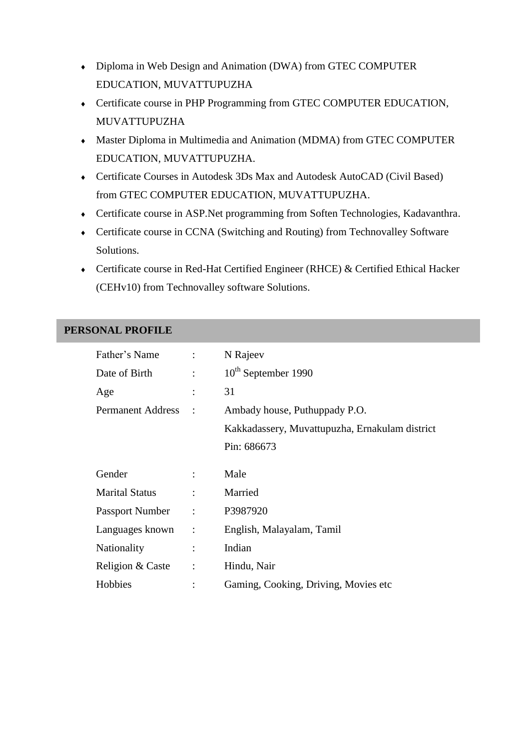- Diploma in Web Design and Animation (DWA) from GTEC COMPUTER EDUCATION, MUVATTUPUZHA
- Certificate course in PHP Programming from GTEC COMPUTER EDUCATION, MUVATTUPUZHA
- Master Diploma in Multimedia and Animation (MDMA) from GTEC COMPUTER EDUCATION, MUVATTUPUZHA.
- Certificate Courses in Autodesk 3Ds Max and Autodesk AutoCAD (Civil Based) from GTEC COMPUTER EDUCATION, MUVATTUPUZHA.
- Certificate course in ASP.Net programming from Soften Technologies, Kadavanthra.
- Certificate course in CCNA (Switching and Routing) from Technovalley Software Solutions.
- Certificate course in Red-Hat Certified Engineer (RHCE) & Certified Ethical Hacker (CEHv10) from Technovalley software Solutions.

# **PERSONAL PROFILE**

| Father's Name            | $\ddot{\cdot}$ | N Rajeev                                       |
|--------------------------|----------------|------------------------------------------------|
| Date of Birth            | $\ddot{\cdot}$ | 10 <sup>th</sup> September 1990                |
| Age                      |                | 31                                             |
| <b>Permanent Address</b> | $\ddot{\cdot}$ | Ambady house, Puthuppady P.O.                  |
|                          |                | Kakkadassery, Muvattupuzha, Ernakulam district |
|                          |                | Pin: 686673                                    |
| Gender                   | $\ddot{\cdot}$ | Male                                           |
| <b>Marital Status</b>    | $\ddot{\cdot}$ | Married                                        |
| <b>Passport Number</b>   | $\ddot{\cdot}$ | P3987920                                       |
| Languages known          | $\ddot{\cdot}$ | English, Malayalam, Tamil                      |
| Nationality              | $\ddot{\cdot}$ | Indian                                         |
| Religion & Caste         | $\ddot{\cdot}$ | Hindu, Nair                                    |
| Hobbies                  |                | Gaming, Cooking, Driving, Movies etc           |